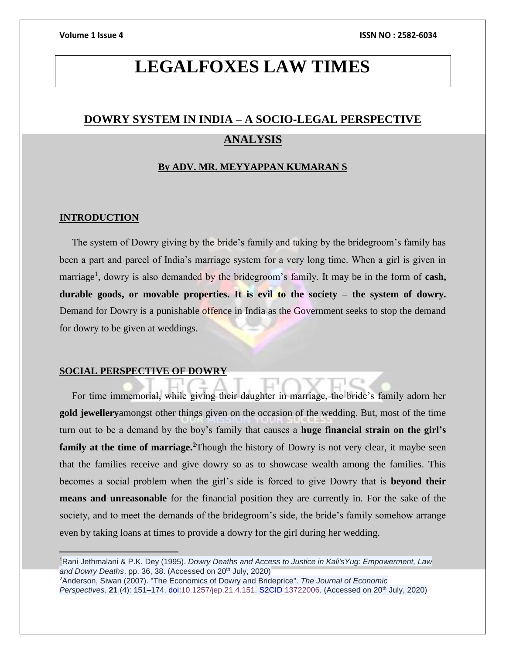# **LEGALFOXES LAW TIMES**

## **DOWRY SYSTEM IN INDIA – A SOCIO-LEGAL PERSPECTIVE ANALYSIS**

#### **By ADV. MR. MEYYAPPAN KUMARAN S**

#### **INTRODUCTION**

 The system of Dowry giving by the bride's family and taking by the bridegroom's family has been a part and parcel of India's marriage system for a very long time. When a girl is given in marriage<sup>1</sup>, dowry is also demanded by the bridegroom's family. It may be in the form of **cash**, **durable goods, or movable properties. It is evil to the society – the system of dowry.**  Demand for Dowry is a punishable offence in India as the Government seeks to stop the demand for dowry to be given at weddings.

#### **SOCIAL PERSPECTIVE OF DOWRY**

 For time immemorial, while giving their daughter in marriage, the bride's family adorn her **gold jewellery**amongst other things given on the occasion of the wedding. But, most of the time turn out to be a demand by the boy's family that causes a **huge financial strain on the girl's family at the time of marriage.**<sup>2</sup>Though the history of Dowry is not very clear, it maybe seen that the families receive and give dowry so as to showcase wealth among the families. This becomes a social problem when the girl's side is forced to give Dowry that is **beyond their means and unreasonable** for the financial position they are currently in. For the sake of the society, and to meet the demands of the bridegroom's side, the bride's family somehow arrange even by taking loans at times to provide a dowry for the girl during her wedding.

<sup>1</sup>Rani Jethmalani & P.K. Dey (1995). *Dowry Deaths and Access to Justice in Kali'sYug: Empowerment, Law*  and Dowry Deaths. pp. 36, 38. (Accessed on 20<sup>th</sup> July, 2020)<sup>1</sup> <sup>2</sup>Anderson, Siwan (2007). "The Economics of Dowry and Brideprice". *The Journal of Economic Perspectives*. **21** (4): 151–174. [doi](https://en.wikipedia.org/wiki/Doi_(identifier))[:10.1257/jep.21.4.151.](https://doi.org/10.1257%2Fjep.21.4.151) [S2CID](https://en.wikipedia.org/wiki/S2CID_(identifier)) [13722006.](https://api.semanticscholar.org/CorpusID:13722006) (Accessed on 20th July, 2020)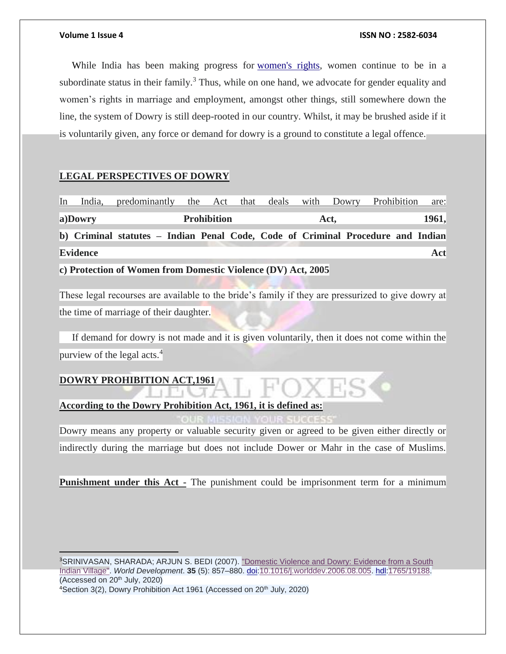While India has been making progress for [women's rights,](https://en.wikipedia.org/wiki/Women%27s_rights) women continue to be in a subordinate status in their family.<sup>3</sup> Thus, while on one hand, we advocate for gender equality and women's rights in marriage and employment, amongst other things, still somewhere down the line, the system of Dowry is still deep-rooted in our country. Whilst, it may be brushed aside if it is voluntarily given, any force or demand for dowry is a ground to constitute a legal offence.

### **LEGAL PERSPECTIVES OF DOWRY**

| In | India,          | predominantly the Act that deals with Dowry Prohibition                         |  |  |  |      |  |  |  |  | are:  |
|----|-----------------|---------------------------------------------------------------------------------|--|--|--|------|--|--|--|--|-------|
|    | a)Dowry         | <b>Prohibition</b>                                                              |  |  |  | Act, |  |  |  |  | 1961, |
|    |                 | b) Criminal statutes – Indian Penal Code, Code of Criminal Procedure and Indian |  |  |  |      |  |  |  |  |       |
|    | <b>Evidence</b> |                                                                                 |  |  |  |      |  |  |  |  | Act   |

**c) Protection of Women from Domestic Violence (DV) Act, 2005**

These legal recourses are available to the bride's family if they are pressurized to give dowry at the time of marriage of their daughter.

 If demand for dowry is not made and it is given voluntarily, then it does not come within the purview of the legal acts. $4$ 

## **DOWRY PROHIBITION ACT,1961**

**According to the Dowry Prohibition Act, 1961, it is defined as:** 

Dowry means any property or valuable security given or agreed to be given either directly or indirectly during the marriage but does not include Dower or Mahr in the case of Muslims.

**Punishment under this Act** - The punishment could be imprisonment term for a minimum

<sup>3</sup>SRINIVASAN, SHARADA; ARJUN S. BEDI (2007). "Domestic Violence and Dowry: Evidence from a South [Indian Village".](http://repub.eur.nl/pub/19188) *World Development*. **35** (5): 857–880. [doi:](https://en.wikipedia.org/wiki/Doi_(identifier))[10.1016/j.worlddev.2006.08.005.](https://doi.org/10.1016%2Fj.worlddev.2006.08.005) [hdl](https://en.wikipedia.org/wiki/Hdl_(identifier))[:1765/19188.](https://hdl.handle.net/1765%2F19188) (Accessed on  $20<sup>th</sup>$  July,  $2020$ )

<sup>4</sup>Section 3(2), Dowry Prohibition Act 1961 (Accessed on 20<sup>th</sup> July, 2020)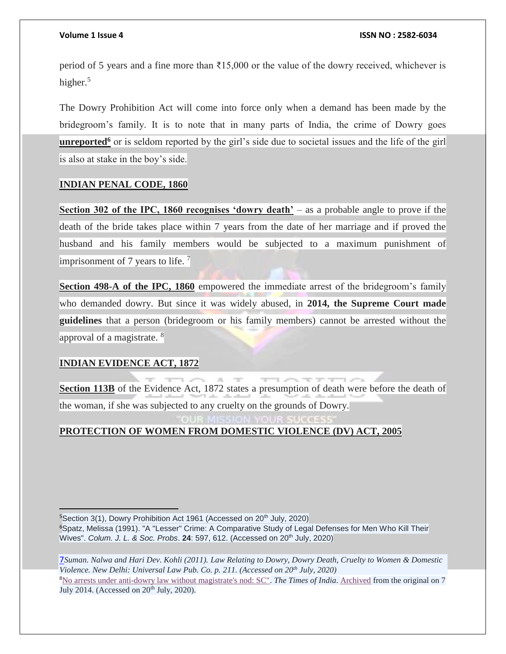period of 5 years and a fine more than ₹15,000 or the value of the dowry received, whichever is higher.<sup>5</sup>

The Dowry Prohibition Act will come into force only when a demand has been made by the bridegroom's family. It is to note that in many parts of India, the crime of Dowry goes **unreported<sup>6</sup>** or is seldom reported by the girl's side due to societal issues and the life of the girl is also at stake in the boy's side.

### **INDIAN PENAL CODE, 1860**

**Section 302 of the IPC, 1860 recognises 'dowry death'** – as a probable angle to prove if the death of the bride takes place within 7 years from the date of her marriage and if proved the husband and his family members would be subjected to a maximum punishment of imprisonment of 7 years to life.  $\frac{7}{1}$ 

**Section 498-A of the IPC, 1860** empowered the immediate arrest of the bridegroom's family who demanded dowry. But since it was widely abused, in **2014, the Supreme Court made guidelines** that a person (bridegroom or his family members) cannot be arrested without the approval of a magistrate. <sup>8</sup>

#### **INDIAN EVIDENCE ACT, 1872**

 $\overline{a}$ 

**Section 113B** of the Evidence Act, 1872 states a presumption of death were before the death of the woman, if she was subjected to any cruelty on the grounds of Dowry.

### **PROTECTION OF WOMEN FROM DOMESTIC VIOLENCE (DV) ACT, 2005**

<sup>5</sup>Section 3(1), Dowry Prohibition Act 1961 (Accessed on 20<sup>th</sup> July, 2020) <sup>6</sup>Spatz, Melissa (1991). "A "Lesser" Crime: A Comparative Study of Legal Defenses for Men Who Kill Their Wives". *Colum. J. L. & Soc. Probs*. **24**: 597, 612. (Accessed on 20th July, 2020)

7*Suman. Nalwa and Hari Dev. Kohli (2011). Law Relating to Dowry, Dowry Death, Cruelty to Women & Domestic Violence. New Delhi: Universal Law Pub. Co. p. 211. (Accessed on 20th July, 2020)* <sup>8</sup>[No arrests under anti-dowry law without magistrate's nod: SC".](http://timesofindia.indiatimes.com/india/No-arrests-under-anti-dowry-law-without-magistrates-nod-SC/articleshow/37661519.cms) *The Times of India*. [Archived](https://web.archive.org/web/20140707181737/http:/timesofindia.indiatimes.com/india/No-arrests-under-anti-dowry-law-without-magistrates-nod-SC/articleshow/37661519.cms) from the original on 7 July 2014. (Accessed on 20<sup>th</sup> July, 2020).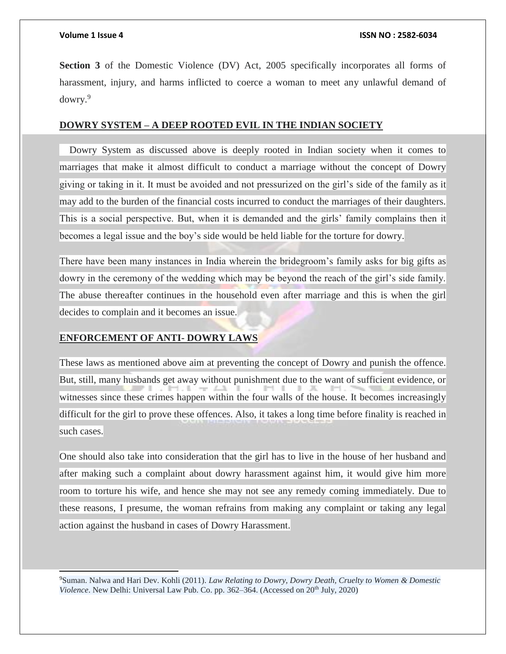j

**Section 3** of the Domestic Violence (DV) Act, 2005 specifically incorporates all forms of harassment, injury, and harms inflicted to coerce a woman to meet any unlawful demand of dowry.<sup>9</sup>

### **DOWRY SYSTEM – A DEEP ROOTED EVIL IN THE INDIAN SOCIETY**

 Dowry System as discussed above is deeply rooted in Indian society when it comes to marriages that make it almost difficult to conduct a marriage without the concept of Dowry giving or taking in it. It must be avoided and not pressurized on the girl's side of the family as it may add to the burden of the financial costs incurred to conduct the marriages of their daughters. This is a social perspective. But, when it is demanded and the girls' family complains then it becomes a legal issue and the boy's side would be held liable for the torture for dowry.

There have been many instances in India wherein the bridegroom's family asks for big gifts as dowry in the ceremony of the wedding which may be beyond the reach of the girl's side family. The abuse thereafter continues in the household even after marriage and this is when the girl decides to complain and it becomes an issue.

#### **ENFORCEMENT OF ANTI- DOWRY LAWS**

These laws as mentioned above aim at preventing the concept of Dowry and punish the offence. But, still, many husbands get away without punishment due to the want of sufficient evidence, or witnesses since these crimes happen within the four walls of the house. It becomes increasingly difficult for the girl to prove these offences. Also, it takes a long time before finality is reached in such cases.

One should also take into consideration that the girl has to live in the house of her husband and after making such a complaint about dowry harassment against him, it would give him more room to torture his wife, and hence she may not see any remedy coming immediately. Due to these reasons, I presume, the woman refrains from making any complaint or taking any legal action against the husband in cases of Dowry Harassment.

<sup>9</sup>Suman. Nalwa and Hari Dev. Kohli (2011). *Law Relating to Dowry, Dowry Death, Cruelty to Women & Domestic Violence*. New Delhi: Universal Law Pub. Co. pp. 362–364. (Accessed on 20th July, 2020)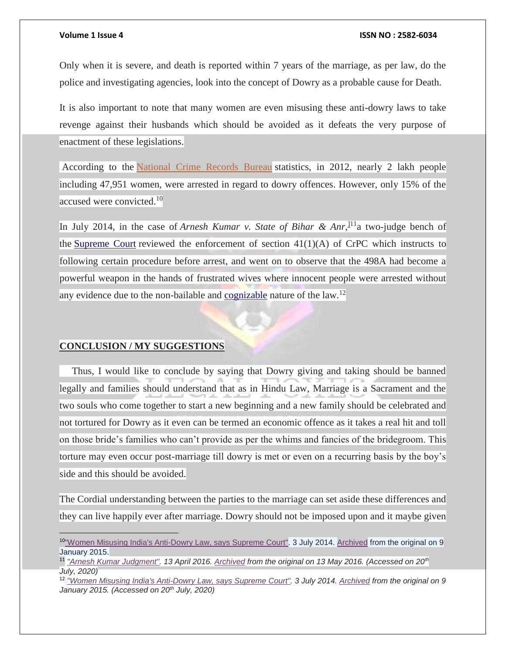Only when it is severe, and death is reported within 7 years of the marriage, as per law, do the police and investigating agencies, look into the concept of Dowry as a probable cause for Death.

It is also important to note that many women are even misusing these anti-dowry laws to take revenge against their husbands which should be avoided as it defeats the very purpose of enactment of these legislations.

According to the [National Crime Records Bureau](http://ncrb.gov.in/) statistics, in 2012, nearly 2 lakh people including 47,951 women, were arrested in regard to dowry offences. However, only 15% of the accused were convicted.<sup>10</sup>

In July 2014, in the case of *Arnesh Kumar v. State of Bihar & Anr,*[\]1](https://en.wikipedia.org/wiki/Dowry_system_in_India#cite_note-87)1a two-judge bench of the [Supreme Court](https://en.wikipedia.org/wiki/Supreme_Court_of_India) reviewed the enforcement of section  $41(1)(A)$  of CrPC which instructs to following certain procedure before arrest, and went on to observe that the 498A had become a powerful weapon in the hands of frustrated wives where innocent people were arrested without any evidence due to the non-bailable and <u>[cognizable](https://en.wikipedia.org/wiki/Cognisable_offence)</u> nature of the law.<sup>12</sup>

#### **CONCLUSION / MY SUGGESTIONS**

 $\overline{a}$ 

 Thus, I would like to conclude by saying that Dowry giving and taking should be banned legally and families should understand that as in Hindu Law, Marriage is a Sacrament and the two souls who come together to start a new beginning and a new family should be celebrated and not tortured for Dowry as it even can be termed an economic offence as it takes a real hit and toll on those bride's families who can't provide as per the whims and fancies of the bridegroom. This torture may even occur post-marriage till dowry is met or even on a recurring basis by the boy's side and this should be avoided.

The Cordial understanding between the parties to the marriage can set aside these differences and they can live happily ever after marriage. Dowry should not be imposed upon and it maybe given

<sup>&</sup>lt;sup>10"</sup>Women Misusing India's Anti-Dowry Law, says Supreme Court". 3 July 2014. [Archived](https://web.archive.org/web/20150109124113/http:/blogs.wsj.com/indiarealtime/2014/07/03/women-misusing-indias-anti-dowry-law-says-supreme-court/) from the original on 9 January 2015.

<sup>11</sup> *["Arnesh Kumar Judgment".](http://www.shoneekapoor.com/arnesh-kumar-vs-state-of-bihar-and-anr/) 13 April 2016. [Archived](https://web.archive.org/web/20160513070744/http:/www.shoneekapoor.com/arnesh-kumar-vs-state-of-bihar-and-anr/) from the original on 13 May 2016. (Accessed on 20th July, 2020)*

<sup>12</sup> *["Women Misusing India's Anti-Dowry Law, says Supreme Court".](https://blogs.wsj.com/indiarealtime/2014/07/03/women-misusing-indias-anti-dowry-law-says-supreme-court/) 3 July 2014. [Archived](https://web.archive.org/web/20150109124113/http:/blogs.wsj.com/indiarealtime/2014/07/03/women-misusing-indias-anti-dowry-law-says-supreme-court/) from the original on 9 January 2015. (Accessed on 20th July, 2020)*